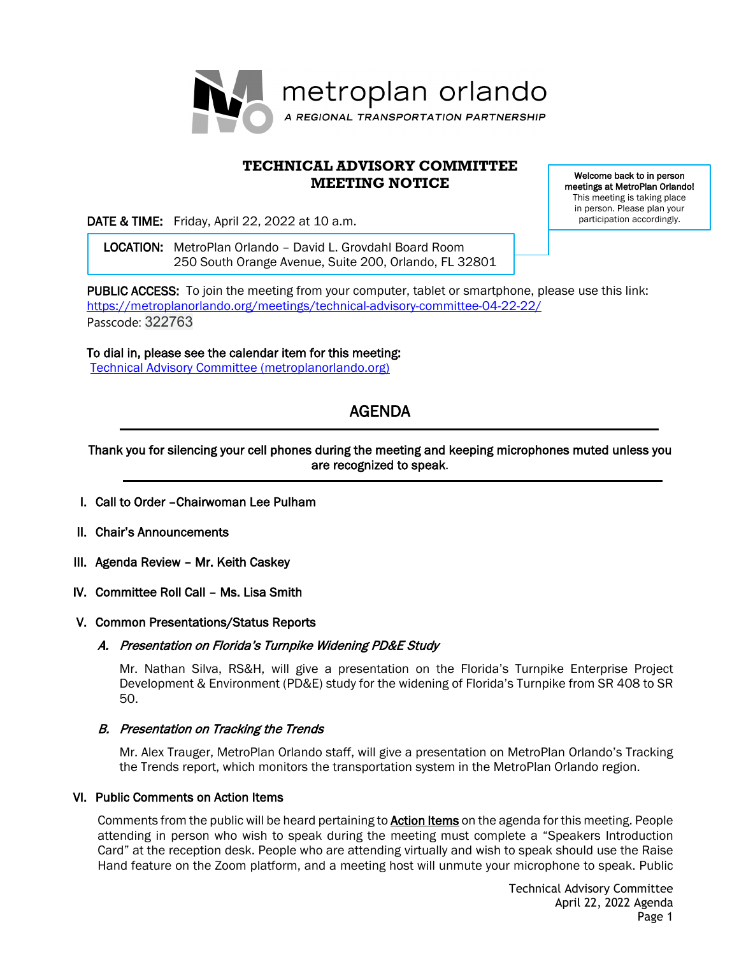

# **TECHNICAL ADVISORY COMMITTEE MEETING NOTICE**

Welcome back to in person meetings at MetroPlan Orlando! This meeting is taking place in person. Please plan your participation accordingly.

DATE & TIME: Friday, April 22, 2022 at 10 a.m.

 LOCATION: MetroPlan Orlando – David L. Grovdahl Board Room 250 South Orange Avenue, Suite 200, Orlando, FL 32801

PUBLIC ACCESS: To join the meeting from your computer, tablet or smartphone, please use this link: <https://metroplanorlando.org/meetings/technical-advisory-committee-04-22-22/> Passcode: 322763

To dial in, please see the calendar item for this meeting: **[Technical Advisory Committee \(metroplanorlando.org\)](https://metroplanorlando.org/meetings/technical-advisory-committee-02-25-22/)** 

# AGENDA

## Thank you for silencing your cell phones during the meeting and keeping microphones muted unless you are recognized to speak.

- I. Call to Order –Chairwoman Lee Pulham
- II. Chair's Announcements
- III. Agenda Review Mr. Keith Caskey
- IV. Committee Roll Call Ms. Lisa Smith

#### V. Common Presentations/Status Reports

#### A. Presentation on Florida's Turnpike Widening PD&E Study

Mr. Nathan Silva, RS&H, will give a presentation on the Florida's Turnpike Enterprise Project Development & Environment (PD&E) study for the widening of Florida's Turnpike from SR 408 to SR 50.

## B. Presentation on Tracking the Trends

Mr. Alex Trauger, MetroPlan Orlando staff, will give a presentation on MetroPlan Orlando's Tracking the Trends report, which monitors the transportation system in the MetroPlan Orlando region.

#### VI. Public Comments on Action Items

Comments from the public will be heard pertaining to **Action Items** on the agenda for this meeting. People attending in person who wish to speak during the meeting must complete a "Speakers Introduction Card" at the reception desk. People who are attending virtually and wish to speak should use the Raise Hand feature on the Zoom platform, and a meeting host will unmute your microphone to speak. Public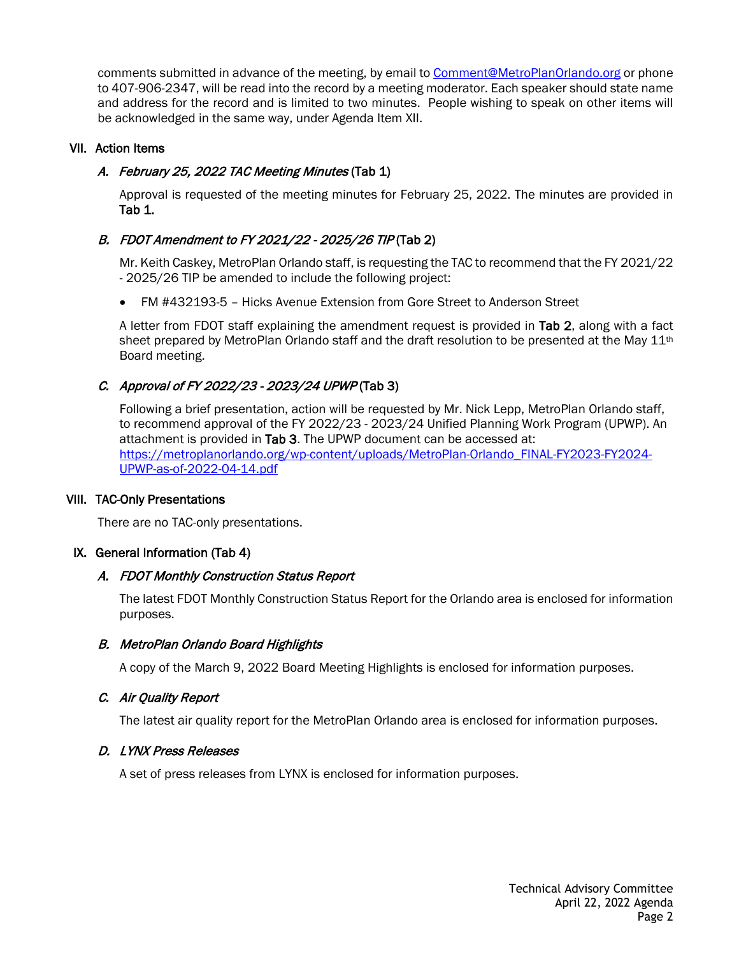comments submitted in advance of the meeting, by email to [Comment@MetroPlanOrlando.org](mailto:Comment@MetroPlanOrlando.org) or phone to 407-906-2347, will be read into the record by a meeting moderator. Each speaker should state name and address for the record and is limited to two minutes. People wishing to speak on other items will be acknowledged in the same way, under Agenda Item XII.

## VII. Action Items

## A. February 25, 2022 TAC Meeting Minutes (Tab 1)

Approval is requested of the meeting minutes for February 25, 2022. The minutes are provided in Tab 1.

# B. FDOT Amendment to FY 2021/22 - 2025/26 TIP (Tab 2)

Mr. Keith Caskey, MetroPlan Orlando staff, is requesting the TAC to recommend that the FY 2021/22 - 2025/26 TIP be amended to include the following project:

• FM #432193-5 – Hicks Avenue Extension from Gore Street to Anderson Street

A letter from FDOT staff explaining the amendment request is provided in Tab 2, along with a fact sheet prepared by MetroPlan Orlando staff and the draft resolution to be presented at the May  $11<sup>th</sup>$ Board meeting.

# C. Approval of FY 2022/23 - 2023/24 UPWP (Tab 3)

Following a brief presentation, action will be requested by Mr. Nick Lepp, MetroPlan Orlando staff, to recommend approval of the FY 2022/23 - 2023/24 Unified Planning Work Program (UPWP). An attachment is provided in Tab 3. The UPWP document can be accessed at: [https://metroplanorlando.org/wp-content/uploads/MetroPlan-Orlando\\_FINAL-FY2023-FY2024-](https://metroplanorlando.org/wp-content/uploads/MetroPlan-Orlando_FINAL-FY2023-FY2024-UPWP-as-of-2022-04-14.pdf) [UPWP-as-of-2022-04-14.pdf](https://metroplanorlando.org/wp-content/uploads/MetroPlan-Orlando_FINAL-FY2023-FY2024-UPWP-as-of-2022-04-14.pdf)

#### VIII. TAC-Only Presentations

There are no TAC-only presentations.

## IX. General Information (Tab 4)

## A. FDOT Monthly Construction Status Report

The latest FDOT Monthly Construction Status Report for the Orlando area is enclosed for information purposes.

## B. MetroPlan Orlando Board Highlights

A copy of the March 9, 2022 Board Meeting Highlights is enclosed for information purposes.

## C. Air Quality Report

The latest air quality report for the MetroPlan Orlando area is enclosed for information purposes.

#### D. LYNX Press Releases

A set of press releases from LYNX is enclosed for information purposes.